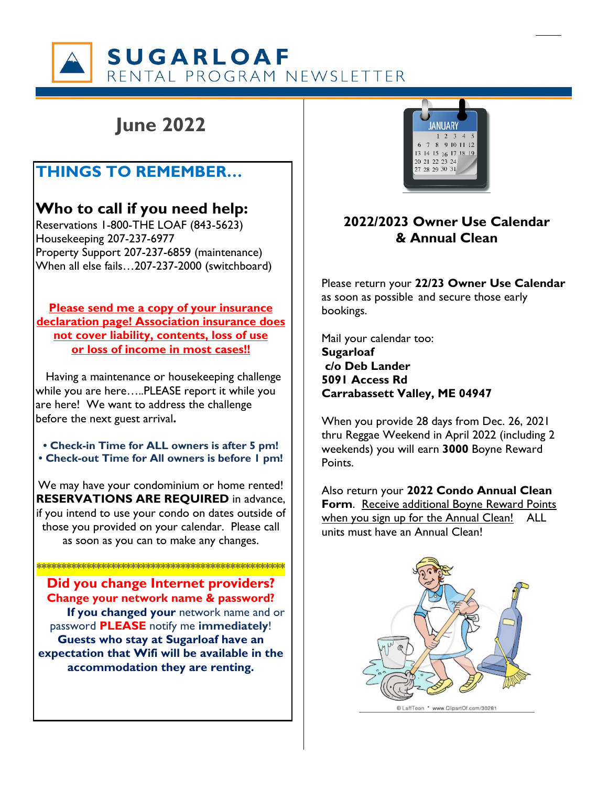**SUGARLOAF** RENTAL PROGRAM NEWSLETTER

# **June 2022**

## **THINGS TO REMEMBER…**

## **Who to call if you need help:**

Reservations 1-800-THE LOAF (843-5623) Housekeeping 207-237-6977 Property Support 207-237-6859 (maintenance) When all else fails…207-237-2000 (switchboard)

**Please send me a copy of your insurance declaration page! Association insurance does not cover liability, contents, loss of use or loss of income in most cases!!**

 Having a maintenance or housekeeping challenge while you are here…..PLEASE report it while you are here! We want to address the challenge before the next guest arrival**.**

**• Check-in Time for ALL owners is after 5 pm! • Check-out Time for All owners is before 1 pm!**

We may have your condominium or home rented! **RESERVATIONS ARE REQUIRED** in advance, if you intend to use your condo on dates outside of those you provided on your calendar. Please call as soon as you can to make any changes.

\*\*\*\*\*\*\*\*\*\*\*\*\*\*\*\*\*\*\*\*\*\*\*\*\*\*\*\*\*\*\*\*\*\*\*\*\*\*\*\*\*\*\*\*\*\*\*\*\*\*

**Did you change Internet providers? Change your network name & password? If you changed your** network name and or password **PLEASE** notify me **immediately**! **Guests who stay at Sugarloaf have an expectation that Wifi will be available in the accommodation they are renting.** 



### **2022/2023 Owner Use Calendar & Annual Clean**

Please return your **22/23 Owner Use Calendar** as soon as possible and secure those early bookings.

Mail your calendar too: **Sugarloaf c/o Deb Lander 5091 Access Rd Carrabassett Valley, ME 04947** 

When you provide 28 days from Dec. 26, 2021 thru Reggae Weekend in April 2022 (including 2 weekends) you will earn **3000** Boyne Reward **Points** 

Also return your **2022 Condo Annual Clean Form**. Receive additional Boyne Reward Points when you sign up for the Annual Clean! ALL units must have an Annual Clean!